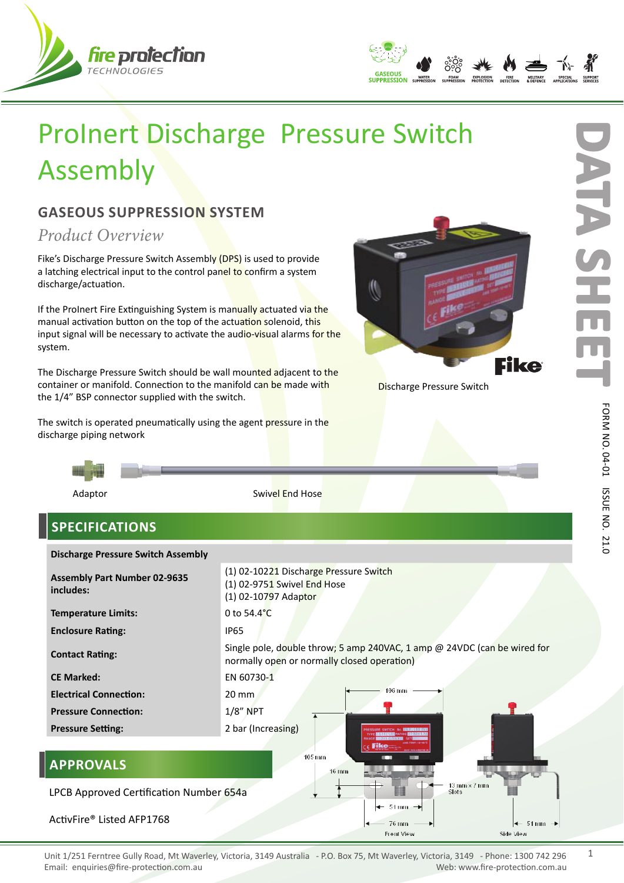



## ProInert Discharge Pressure Switch Assembly

## **GASEOUS SUPPRESSION SYSTEM**

*Product Overview*

Fike's Discharge Pressure Switch Assembly (DPS) is used to provide a latching electrical input to the control panel to confirm a system discharge/actuation.

If the ProInert Fire Extinguishing System is manually actuated via the manual activation button on the top of the actuation solenoid, this input signal will be necessary to activate the audio-visual alarms for the system.

The Discharge Pressure Switch should be wall mounted adjacent to the container or manifold. Connection to the manifold can be made with the 1/4" BSP connector supplied with the switch.

The switch is operated pneumatically using the agent pressure in the discharge piping network



**Discharge Pressure Switch** 



## **SPECIFICATIONS**

| <b>Discharge Pressure Switch Assembly</b>                                                      |                                                                                                                         |
|------------------------------------------------------------------------------------------------|-------------------------------------------------------------------------------------------------------------------------|
| <b>Assembly Part Number 02-9635</b><br>includes:                                               | (1) 02-10221 Discharge Pressure Switch<br>(1) 02-9751 Swivel End Hose<br>(1) 02-10797 Adaptor                           |
| <b>Temperature Limits:</b>                                                                     | 0 to $54.4^{\circ}$ C                                                                                                   |
| <b>Enclosure Rating:</b>                                                                       | <b>IP65</b>                                                                                                             |
| <b>Contact Rating:</b>                                                                         | Single pole, double throw; 5 amp 240VAC, 1 amp @ 24VDC (can be wired for<br>normally open or normally closed operation) |
| <b>CE Marked:</b>                                                                              | EN 60730-1                                                                                                              |
| <b>Electrical Connection:</b>                                                                  | $106$ mm<br>$20 \text{ mm}$                                                                                             |
| <b>Pressure Connection:</b>                                                                    | $1/8$ " NPT                                                                                                             |
| <b>Pressure Setting:</b>                                                                       | 2 bar (Increasing)                                                                                                      |
| 105 mm<br><b>APPROVALS</b><br><b>16 mm</b>                                                     |                                                                                                                         |
| $13 \text{ mm} \times 7 \text{ mm}$<br><b>Slots</b><br>LPCB Approved Certification Number 654a |                                                                                                                         |
| $\leftarrow$ 51 mm<br>ActivFire® Listed AFP1768<br>76 mm<br>$\leftarrow$ 51 mm $\rightarrow$   |                                                                                                                         |
|                                                                                                | <b>Front View</b><br>Side View                                                                                          |

21.0

1

**D**